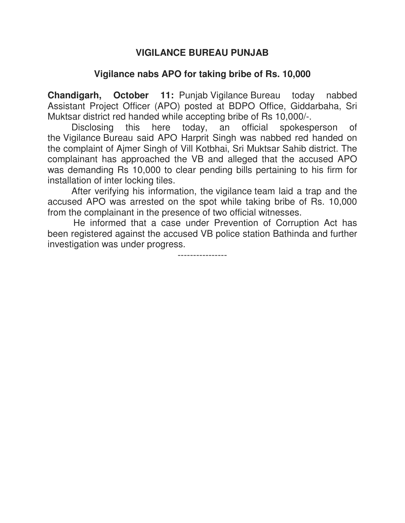## **VIGILANCE BUREAU PUNJAB**

## **Vigilance nabs APO for taking bribe of Rs. 10,000**

**Chandigarh, October 11:** Punjab Vigilance Bureau today nabbed Assistant Project Officer (APO) posted at BDPO Office, Giddarbaha, Sri Muktsar district red handed while accepting bribe of Rs 10,000/-.

Disclosing this here today, an official spokesperson of the Vigilance Bureau said APO Harprit Singh was nabbed red handed on the complaint of Ajmer Singh of Vill Kotbhai, Sri Muktsar Sahib district. The complainant has approached the VB and alleged that the accused APO was demanding Rs 10,000 to clear pending bills pertaining to his firm for installation of inter locking tiles.

After verifying his information, the vigilance team laid a trap and the accused APO was arrested on the spot while taking bribe of Rs. 10,000 from the complainant in the presence of two official witnesses.

 He informed that a case under Prevention of Corruption Act has been registered against the accused VB police station Bathinda and further investigation was under progress.

----------------